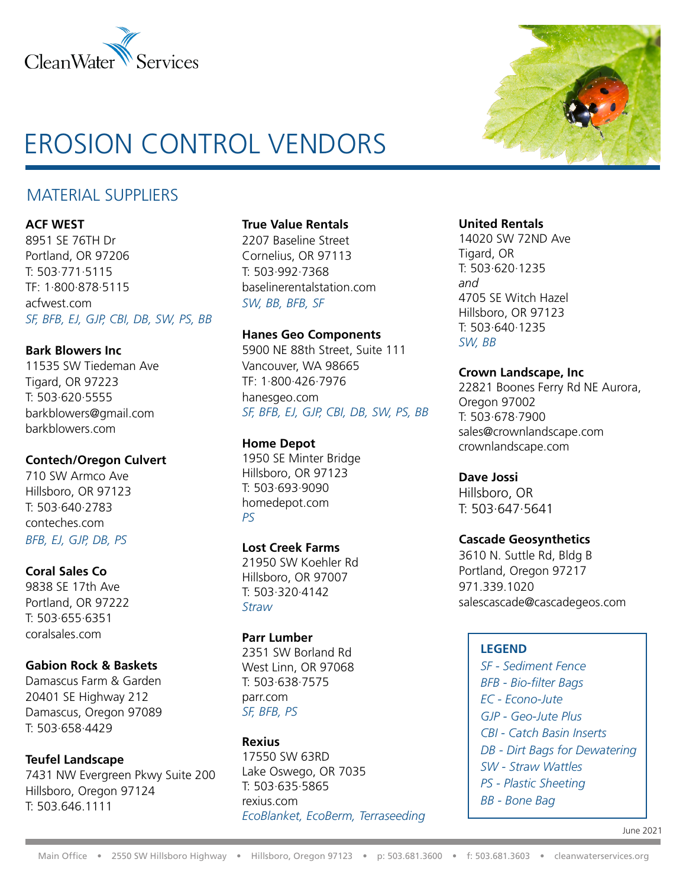

# EROSION CONTROL VENDORS

# MATERIAL SUPPLIERS

#### **ACF WEST**

8951 SE 76TH Dr Portland, OR 97206 T: 503·771·5115 TF: 1·800·878·5115 acfwest.com *SF, BFB, EJ, GJP, CBI, DB, SW, PS, BB*

#### **Bark Blowers Inc**

11535 SW Tiedeman Ave Tigard, OR 97223 T: 503·620·5555 barkblowers@gmail.com barkblowers.com

#### **Contech/Oregon Culvert**

710 SW Armco Ave Hillsboro, OR 97123 T: 503·640·2783 conteches.com *BFB, EJ, GJP, DB, PS*

## **Coral Sales Co**

9838 SE 17th Ave Portland, OR 97222 T: 503·655·6351 coralsales.com

## **Gabion Rock & Baskets**

Damascus Farm & Garden 20401 SE Highway 212 Damascus, Oregon 97089 T: 503·658·4429

#### **Teufel Landscape**

7431 NW Evergreen Pkwy Suite 200 Hillsboro, Oregon 97124 T: 503.646.1111

#### **True Value Rentals**

2207 Baseline Street Cornelius, OR 97113 T: 503·992·7368 baselinerentalstation.com *SW, BB, BFB, SF*

#### **Hanes Geo Components**

5900 NE 88th Street, Suite 111 Vancouver, WA 98665 TF: 1·800·426·7976 hanesgeo.com *SF, BFB, EJ, GJP, CBI, DB, SW, PS, BB*

## **Home Depot**

1950 SE Minter Bridge Hillsboro, OR 97123 T: 503·693·9090 homedepot.com *PS*

#### **Lost Creek Farms**

21950 SW Koehler Rd Hillsboro, OR 97007 T: 503·320·4142 *Straw*

#### **Parr Lumber**

2351 SW Borland Rd West Linn, OR 97068 T: 503·638·7575 parr.com *SF, BFB, PS*

#### **Rexius**

17550 SW 63RD Lake Oswego, OR 7035 T: 503·635·5865 rexius.com *EcoBlanket, EcoBerm, Terraseeding*



#### **United Rentals**

14020 SW 72ND Ave Tigard, OR T: 503·620·1235 *and* 4705 SE Witch Hazel Hillsboro, OR 97123 T: 503·640·1235 *SW, BB*

#### **Crown Landscape, Inc**

22821 Boones Ferry Rd NE Aurora, Oregon 97002 T: 503·678·7900 sales@crownlandscape.com crownlandscape.com

#### **Dave Jossi**

Hillsboro, OR T: 503·647·5641

#### **Cascade Geosynthetics**

3610 N. Suttle Rd, Bldg B Portland, Oregon 97217 971.339.1020 salescascade@cascadegeos.com

#### **LEGEND**

*SF - Sediment Fence BFB - Bio-filter Bags EC - Econo-Jute GJP - Geo-Jute Plus CBI - Catch Basin Inserts DB - Dirt Bags for Dewatering SW - Straw Wattles PS - Plastic Sheeting BB - Bone Bag*